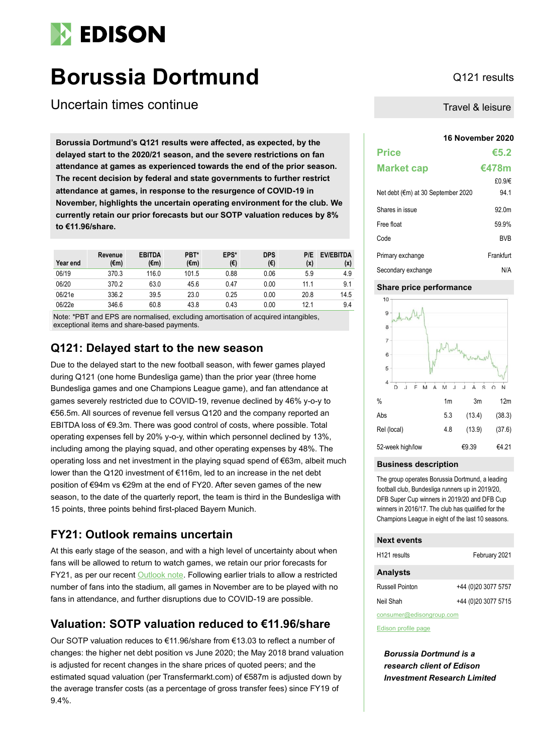# **EDISON**

# **Borussia Dortmund** Q121 results

Uncertain times continue

**16 November 2020 Borussia Dortmund's Q121 results were affected, as expected, by the delayed start to the 2020/21 season, and the severe restrictions on fan attendance at games as experienced towards the end of the prior season. The recent decision by federal and state governments to further restrict attendance at games, in response to the resurgence of COVID-19 in November, highlights the uncertain operating environment for the club. We currently retain our prior forecasts but our SOTP valuation reduces by 8% to €11.96/share.** 

| Year end | Revenue<br>(€m) | <b>EBITDA</b><br>$(\epsilon m)$ | PBT*<br>$(\epsilon m)$ | EPS*<br>(€) | <b>DPS</b><br>(€) | P/E<br>(x) | <b>EV/EBITDA</b><br>(x) |
|----------|-----------------|---------------------------------|------------------------|-------------|-------------------|------------|-------------------------|
| 06/19    | 370.3           | 116.0                           | 101.5                  | 0.88        | 0.06              | 5.9        | 4.9                     |
| 06/20    | 370.2           | 63.0                            | 45.6                   | 0.47        | 0.00              | 11.1       | 9.1                     |
| 06/21e   | 336.2           | 39.5                            | 23.0                   | 0.25        | 0.00              | 20.8       | 14.5                    |
| 06/22e   | 346.6           | 60.8                            | 43.8                   | 0.43        | 0.00              | 12.1       | 9.4                     |

Note: \*PBT and EPS are normalised, excluding amortisation of acquired intangibles, exceptional items and share-based payments.

## **Q121: Delayed start to the new season**

Due to the delayed start to the new football season, with fewer games played during Q121 (one home Bundesliga game) than the prior year (three home Bundesliga games and one Champions League game), and fan attendance at games severely restricted due to COVID-19, revenue declined by 46% y-o-y to €56.5m. All sources of revenue fell versus Q120 and the company reported an EBITDA loss of €9.3m. There was good control of costs, where possible. Total operating expenses fell by 20% y-o-y, within which personnel declined by 13%, including among the playing squad, and other operating expenses by 48%. The operating loss and net investment in the playing squad spend of €63m, albeit much lower than the Q120 investment of €116m, led to an increase in the net debt position of €94m vs €29m at the end of FY20. After seven games of the new season, to the date of the quarterly report, the team is third in the Bundesliga with 15 points, three points behind first-placed Bayern Munich.

# **FY21: Outlook remains uncertain**

At this early stage of the season, and with a high level of uncertainty about when fans will be allowed to return to watch games, we retain our prior forecasts for FY21, as per our recent [Outlook note.](https://www.edisongroup.com/publication/another-brick-in-the-yellow-wall/27974/) Following earlier trials to allow a restricted number of fans into the stadium, all games in November are to be played with no fans in attendance, and further disruptions due to COVID-19 are possible.

# **Valuation: SOTP valuation reduced to €11.96/share**

Our SOTP valuation reduces to €11.96/share from €13.03 to reflect a number of changes: the higher net debt position vs June 2020; the May 2018 brand valuation is adjusted for recent changes in the share prices of quoted peers; and the estimated squad valuation (per Transfermarkt.com) of €587m is adjusted down by the average transfer costs (as a percentage of gross transfer fees) since FY19 of 9.4%.

Travel & leisure

| <b>Price</b>                       | €5.2       |
|------------------------------------|------------|
| <b>Market cap</b>                  | €478m      |
|                                    | £0.9/€     |
| Net debt (€m) at 30 September 2020 | 94.1       |
| Shares in issue                    | 92.0m      |
| Free float                         | 59.9%      |
| Code                               | <b>BVB</b> |
| Primary exchange                   | Frankfurt  |
| Secondary exchange                 | N/A        |

### **Share price performance**



#### **Business description**

The group operates Borussia Dortmund, a leading football club, Bundesliga runners up in 2019/20, DFB Super Cup winners in 2019/20 and DFB Cup winners in 2016/17. The club has qualified for the Champions League in eight of the last 10 seasons.

## **Next events**

| H <sub>121</sub> results | February 2021       |
|--------------------------|---------------------|
| <b>Analysts</b>          |                     |
| Russell Pointon          | +44 (0)20 3077 5757 |
| Neil Shah                | +44 (0)20 3077 5715 |
|                          |                     |

consumer@edisongroup.com

[Edison profile page](https://www.edisongroup.com/company/borussia-dortmund/1521/)

*Borussia Dortmund is a research client of Edison Investment Research Limited*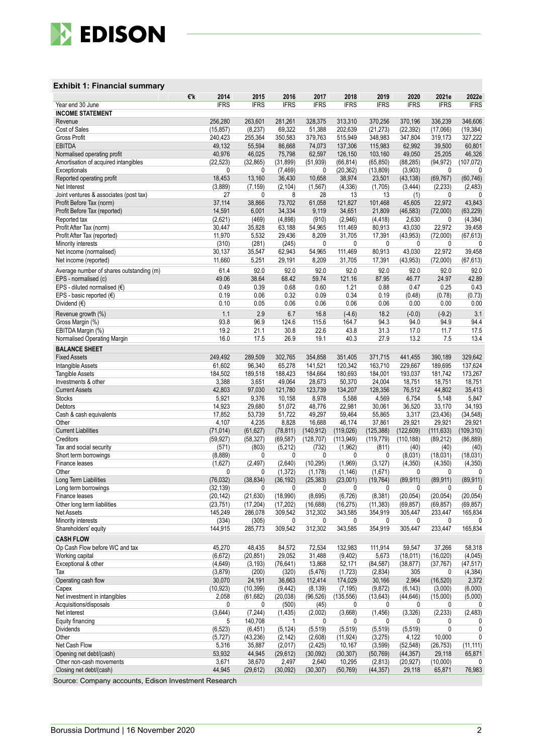

### **Exhibit 1: Financial summary**

|                                                          | 2014<br>€'k          | 2015                  | 2016                  | 2017                  | 2018                  | 2019                 | 2020                  | 2021e                 | 2022e                |
|----------------------------------------------------------|----------------------|-----------------------|-----------------------|-----------------------|-----------------------|----------------------|-----------------------|-----------------------|----------------------|
| Year end 30 June                                         | <b>IFRS</b>          | <b>IFRS</b>           | <b>IFRS</b>           | <b>IFRS</b>           | <b>IFRS</b>           | <b>IFRS</b>          | <b>IFRS</b>           | <b>IFRS</b>           | <b>IFRS</b>          |
| <b>INCOME STATEMENT</b>                                  | 256,280              | 263,601               | 281,261               | 328,375               | 313,310               | 370,256              | 370,196               | 336,239               | 346,606              |
| Revenue<br>Cost of Sales                                 | (15, 857)            | (8, 237)              | 69,322                | 51,388                | 202,639               | (21, 273)            | (22, 392)             | (17,066)              | (19, 384)            |
| <b>Gross Profit</b>                                      | 240,423              | 255,364               | 350,583               | 379,763               | 515,949               | 348,983              | 347,804               | 319,173               | 327,222              |
| <b>EBITDA</b>                                            | 49,132               | 55,594                | 86,668                | 74,073                | 137,306               | 115,983              | 62,992                | 39,500                | 60,801               |
| Normalised operating profit                              | 40,976               | 46,025                | 75,798                | 62,597                | 126,150               | 103,160              | 49,050                | 25,205                | 46,326               |
| Amortisation of acquired intangibles                     | (22, 523)            | (32, 865)             | (31, 899)             | (51, 939)             | (66, 814)             | (65, 850)            | (88, 285)             | (94, 972)             | (107, 072)           |
| Exceptionals                                             | 0                    | 0                     | (7, 469)              | 0                     | (20, 362)             | (13, 809)            | (3,903)               | $\mathbf{0}$          | 0                    |
| Reported operating profit                                | 18.453               | 13,160                | 36,430                | 10,658                | 38,974                | 23,501               | (43, 138)             | (69, 767)             | (60, 746)            |
| Net Interest                                             | (3,889)              | (7, 159)              | (2, 104)              | (1, 567)              | (4, 336)              | (1,705)              | (3, 444)              | (2, 233)              | (2, 483)             |
| Joint ventures & associates (post tax)                   | 27                   | 0                     | 8                     | 28                    | 13                    | 13                   | (1)                   | 0                     | 0                    |
| Profit Before Tax (norm)<br>Profit Before Tax (reported) | 37,114<br>14,591     | 38,866<br>6,001       | 73,702<br>34,334      | 61,058<br>9,119       | 121,827<br>34,651     | 101,468<br>21,809    | 45,605<br>(46, 583)   | 22,972<br>(72,000)    | 43,843<br>(63, 229)  |
| Reported tax                                             | (2,621)              | (469)                 | (4,898)               | (910)                 | (2,946)               | (4, 418)             | 2,630                 | $\mathbf{0}$          | (4, 384)             |
| Profit After Tax (norm)                                  | 30,447               | 35,828                | 63,188                | 54,965                | 111,469               | 80,913               | 43,030                | 22,972                | 39,458               |
| Profit After Tax (reported)                              | 11,970               | 5,532                 | 29,436                | 8,209                 | 31,705                | 17,391               | (43, 953)             | (72,000)              | (67, 613)            |
| Minority interests                                       | (310)                | (281)                 | (245)                 | 0                     | 0                     | 0                    | 0                     | 0                     | 0                    |
| Net income (normalised)                                  | 30,137               | 35,547                | 62,943                | 54,965                | 111,469               | 80,913               | 43,030                | 22,972                | 39,458               |
| Net income (reported)                                    | 11,660               | 5,251                 | 29,191                | 8,209                 | 31,705                | 17,391               | (43, 953)             | (72,000)              | (67, 613)            |
| Average number of shares outstanding (m)                 | 61.4                 | 92.0                  | 92.0                  | 92.0                  | 92.0                  | 92.0                 | 92.0                  | 92.0                  | 92.0                 |
| EPS - normalised (c)                                     | 49.06                | 38.64                 | 68.42                 | 59.74                 | 121.16                | 87.95                | 46.77                 | 24.97                 | 42.89                |
| EPS - diluted normalised $(€)$                           | 0.49                 | 0.39                  | 0.68                  | 0.60                  | 1.21                  | 0.88                 | 0.47                  | 0.25                  | 0.43                 |
| EPS - basic reported $(\epsilon)$<br>Dividend (€)        | 0.19<br>0.10         | 0.06<br>0.05          | 0.32<br>0.06          | 0.09<br>0.06          | 0.34<br>0.06          | 0.19<br>0.06         | (0.48)<br>0.00        | (0.78)<br>0.00        | (0.73)<br>0.00       |
|                                                          |                      |                       |                       |                       |                       |                      |                       |                       |                      |
| Revenue growth (%)                                       | 1.1<br>93.8          | 2.9<br>96.9           | 6.7<br>124.6          | 16.8<br>115.6         | $(-4.6)$<br>164.7     | 18.2<br>94.3         | $(-0.0)$              | $(-9.2)$<br>94.9      | 3.1<br>94.4          |
| Gross Margin (%)<br>EBITDA Margin (%)                    | 19.2                 | 21.1                  | 30.8                  | 22.6                  | 43.8                  | 31.3                 | 94.0<br>17.0          | 11.7                  | 17.5                 |
| Normalised Operating Margin                              | 16.0                 | 17.5                  | 26.9                  | 19.1                  | 40.3                  | 27.9                 | 13.2                  | 7.5                   | 13.4                 |
| <b>BALANCE SHEET</b>                                     |                      |                       |                       |                       |                       |                      |                       |                       |                      |
| <b>Fixed Assets</b>                                      | 249,492              | 289,509               | 302,765               | 354,858               | 351,405               | 371,715              | 441,455               | 390,189               | 329,642              |
| Intangible Assets                                        | 61,602               | 96,340                | 65,278                | 141,521               | 120,342               | 163,710              | 229,667               | 189,695               | 137,624              |
| <b>Tangible Assets</b>                                   | 184,502              | 189,518               | 188,423               | 184,664               | 180,693               | 184,001              | 193,037               | 181,742               | 173,267              |
| Investments & other                                      | 3,388                | 3,651                 | 49,064                | 28,673                | 50,370                | 24,004               | 18,751                | 18,751                | 18,751               |
| <b>Current Assets</b>                                    | 42,803               | 97,030                | 121,780               | 123,739               | 134,207               | 128,356              | 76,512                | 44,802                | 35,413               |
| <b>Stocks</b>                                            | 5,921                | 9,376                 | 10,158                | 8,978                 | 5,588                 | 4,569                | 6,754                 | 5,148                 | 5,847                |
| Debtors<br>Cash & cash equivalents                       | 14,923<br>17,852     | 29,680<br>53,739      | 51,072<br>51,722      | 48,776<br>49,297      | 22,981<br>59,464      | 30,061<br>55,865     | 36,520<br>3,317       | 33,170<br>(23, 436)   | 34,193<br>(34, 548)  |
| Other                                                    | 4,107                | 4,235                 | 8,828                 | 16,688                | 46,174                | 37,861               | 29,921                | 29,921                | 29,921               |
| <b>Current Liabilities</b>                               | (71, 014)            | (61, 627)             | (78, 811)             | (140, 912)            | (119, 026)            | (125, 388)           | (122, 609)            | (111, 633)            | (109, 310)           |
| Creditors                                                | (59, 927)            | (58, 327)             | (69, 587)             | (128, 707)            | (113, 949)            | (119, 779)           | (110, 188)            | (89, 212)             | (86, 889)            |
| Tax and social security                                  | (571)                | (803)                 | (5, 212)              | (732)                 | (1,962)               | (811)                | (40)                  | (40)                  | (40)                 |
| Short term borrowings                                    | (8,889)              | 0                     | 0                     | 0                     | 0                     | 0                    | (8,031)               | (18,031)              | (18,031)             |
| Finance leases                                           | (1,627)              | (2, 497)              | (2,640)               | (10, 295)             | (1,969)               | (3, 127)             | (4,350)               | (4, 350)              | (4, 350)             |
| Other<br>Long Term Liabilities                           | 0<br>(76, 032)       | 0<br>(38, 834)        | (1, 372)<br>(36, 192) | (1, 178)<br>(25, 383) | (1, 146)<br>(23,001)  | (1,671)<br>(19, 764) | 0<br>(89, 911)        | 0<br>(89, 911)        | 0<br>(89, 911)       |
| Long term borrowings                                     | (32, 139)            | $\mathbf{0}$          | $\mathbf{0}$          | 0                     | 0                     | 0                    | 0                     | $\mathbf{0}$          | 0                    |
| Finance leases                                           | (20, 142)            | (21, 630)             | (18,990)              | (8,695)               | (6, 726)              | (8, 381)             | (20.054)              | (20, 054)             | (20.054)             |
| Other long term liabilities                              | (23, 751)            | (17, 204)             | (17, 202)             | (16, 688)             | (16, 275)             | (11, 383)            | (69, 857)             | (69, 857)             | (69, 857)            |
| <b>Net Assets</b>                                        | 145,249              | 286,078               | 309,542               | 312,302               | 343,585               | 354,919              | 305,447               | 233,447               | 165,834              |
| Minority interests                                       | (334)                | (305)                 | 0                     | 0                     | 0                     | 0                    | 0                     | 0                     |                      |
| Shareholders' equity                                     | 144,915              | 285,773               | 309,542               | 312,302               | 343,585               | 354,919              | 305,447               | 233,447               | 165,834              |
| <b>CASH FLOW</b>                                         |                      |                       |                       |                       |                       |                      |                       |                       |                      |
| Op Cash Flow before WC and tax                           | 45,270               | 48,435                | 84,572                | 72,534                | 132,983               | 111,914              | 59,547                | 37,266                | 58,318               |
| Working capital<br>Exceptional & other                   | (6,672)<br>(4,649)   | (20, 851)<br>(3, 193) | 29,052<br>(76, 641)   | 31,488<br>13,868      | (9,402)<br>52,171     | 5,673                | (18,011)<br>(38, 877) | (16,020)<br>(37, 767) | (4,045)<br>(47, 517) |
| Tax                                                      | (3, 879)             | (200)                 | (320)                 | (5, 476)              | (1,723)               | (84, 587)<br>(2,834) | 305                   | 0                     | (4, 384)             |
| Operating cash flow                                      | 30,070               | 24,191                | 36,663                | 112,414               | 174,029               | 30,166               | 2,964                 | (16, 520)             | 2,372                |
| Capex                                                    | (10, 923)            | (10, 399)             | (9, 442)              | (8, 139)              | (7, 195)              | (9, 872)             | (6, 143)              | (3,000)               | (6,000)              |
| Net investment in intangibles                            | 2,058                | (61, 682)             | (20, 038)             | (96, 526)             | (135, 556)            | (13, 643)            | (44, 646)             | (15,000)              | (5,000)              |
| Acquisitions/disposals                                   | 0                    | 0                     | (500)                 | (45)                  | 0                     | 0                    | 0                     | 0                     | 0                    |
| Net interest                                             | (3,644)              | (7, 244)              | (1, 435)              | (2,002)               | (3,668)               | (1, 456)             | (3,326)               | (2, 233)              | (2,483)              |
| Equity financing<br>Dividends                            | 5                    | 140,708               | 1                     | 0                     | 0                     | 0                    | 0                     | 0<br>$\mathbf{0}$     | 0<br>0               |
| Other                                                    | (6, 523)<br>(5, 727) | (6, 451)<br>(43, 236) | (5, 124)<br>(2, 142)  | (5, 519)<br>(2,608)   | (5, 519)<br>(11, 924) | (5, 519)<br>(3,275)  | (5, 519)<br>4,122     | 10,000                | 0                    |
| Net Cash Flow                                            | 5,316                | 35,887                | (2,017)               | (2, 425)              | 10,167                | (3, 599)             | (52, 548)             | (26, 753)             | (11, 111)            |
| Opening net debt/(cash)                                  | 53,932               | 44,945                | (29, 612)             | (30,092)              | (30, 307)             | (50, 769)            | (44, 357)             | 29,118                | 65,871               |
| Other non-cash movements                                 | 3,671                | 38,670                | 2,497                 | 2,640                 | 10,295                | (2,813)              | (20, 927)             | (10,000)              | 0                    |
| Closing net debt/(cash)                                  | 44,945               | (29, 612)             | (30,092)              | (30, 307)             | (50, 769)             | (44, 357)            | 29,118                | 65,871                | 76,983               |

Source: Company accounts, Edison Investment Research